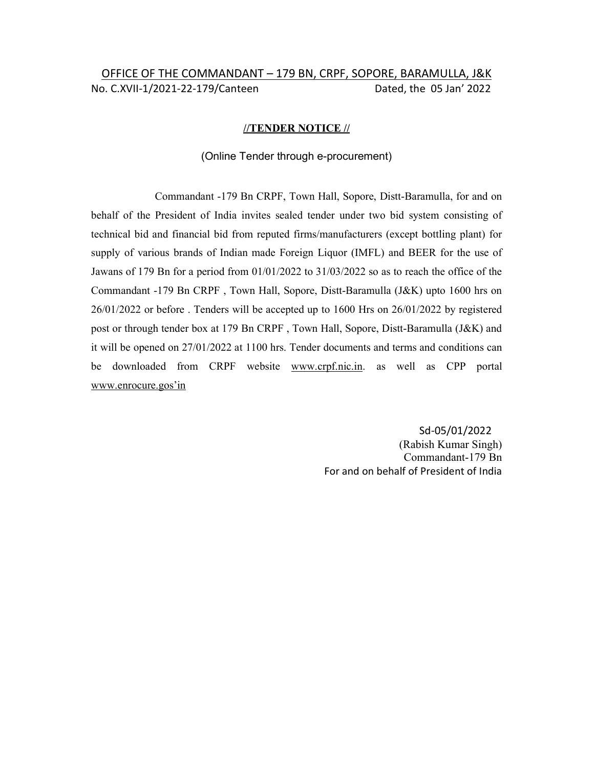# OFFICE OF THE COMMANDANT – 179 BN, CRPF, SOPORE, BARAMULLA, J&K No. C.XVII-1/2021-22-179/Canteen Dated, the 05 Jan' 2022

### //TENDER NOTICE //

### (Online Tender through e-procurement)

Commandant -179 Bn CRPF, Town Hall, Sopore, Distt-Baramulla, for and on behalf of the President of India invites sealed tender under two bid system consisting of technical bid and financial bid from reputed firms/manufacturers (except bottling plant) for supply of various brands of Indian made Foreign Liquor (IMFL) and BEER for the use of Jawans of 179 Bn for a period from 01/01/2022 to 31/03/2022 so as to reach the office of the Commandant -179 Bn CRPF , Town Hall, Sopore, Distt-Baramulla (J&K) upto 1600 hrs on 26/01/2022 or before . Tenders will be accepted up to 1600 Hrs on 26/01/2022 by registered post or through tender box at 179 Bn CRPF , Town Hall, Sopore, Distt-Baramulla (J&K) and it will be opened on 27/01/2022 at 1100 hrs. Tender documents and terms and conditions can be downloaded from CRPF website www.crpf.nic.in. as well as CPP portal www.enrocure.gos'in

> Sd-05/01/2022 (Rabish Kumar Singh) Commandant-179 Bn For and on behalf of President of India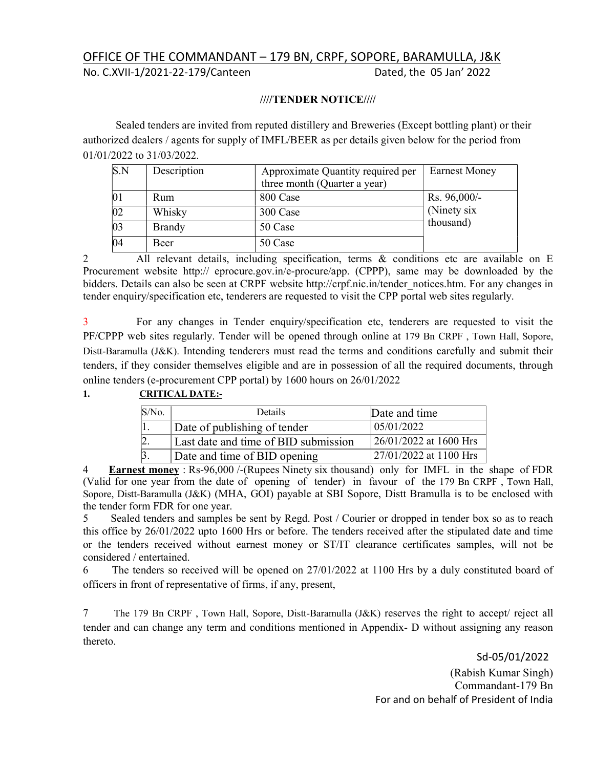## OFFICE OF THE COMMANDANT – 179 BN, CRPF, SOPORE, BARAMULLA, J&K

No. C.XVII-1/2021-22-179/Canteen Dated, the 05 Jan' 2022

### ////TENDER NOTICE////

Sealed tenders are invited from reputed distillery and Breweries (Except bottling plant) or their authorized dealers / agents for supply of IMFL/BEER as per details given below for the period from 01/01/2022 to 31/03/2022.

| S.N             | Description   | Approximate Quantity required per | <b>Earnest Money</b> |
|-----------------|---------------|-----------------------------------|----------------------|
|                 |               | three month (Quarter a year)      |                      |
| 01              | Rum           | 800 Case                          | Rs. 96,000/-         |
| $\overline{02}$ | Whisky        | 300 Case                          | (Ninety six          |
| $\overline{03}$ | <b>Brandy</b> | 50 Case                           | thousand)            |
| 04              | Beer          | 50 Case                           |                      |

2 All relevant details, including specification, terms & conditions etc are available on E Procurement website http:// eprocure.gov.in/e-procure/app. (CPPP), same may be downloaded by the bidders. Details can also be seen at CRPF website http://crpf.nic.in/tender\_notices.htm. For any changes in tender enquiry/specification etc, tenderers are requested to visit the CPP portal web sites regularly.

3 For any changes in Tender enquiry/specification etc, tenderers are requested to visit the PF/CPPP web sites regularly. Tender will be opened through online at 179 Bn CRPF , Town Hall, Sopore, Distt-Baramulla (J&K). Intending tenderers must read the terms and conditions carefully and submit their tenders, if they consider themselves eligible and are in possession of all the required documents, through online tenders (e-procurement CPP portal) by 1600 hours on 26/01/2022

## 1. CRITICAL DATE:-

| $S/N0$ . | <b>Details</b>                       | Date and time             |
|----------|--------------------------------------|---------------------------|
|          | Date of publishing of tender         | 05/01/2022                |
|          | Last date and time of BID submission | $126/01/2022$ at 1600 Hrs |
|          | Date and time of BID opening         | 27/01/2022 at 1100 Hrs    |

**Earnest money** : Rs-96,000 /-(Rupees Ninety six thousand) only for IMFL in the shape of FDR (Valid for one year from the date of opening of tender) in favour of the 179 Bn CRPF , Town Hall, Sopore, Distt-Baramulla (J&K) (MHA, GOI) payable at SBI Sopore, Distt Bramulla is to be enclosed with the tender form FDR for one year.

5 Sealed tenders and samples be sent by Regd. Post / Courier or dropped in tender box so as to reach this office by 26/01/2022 upto 1600 Hrs or before. The tenders received after the stipulated date and time or the tenders received without earnest money or ST/IT clearance certificates samples, will not be considered / entertained.

6 The tenders so received will be opened on 27/01/2022 at 1100 Hrs by a duly constituted board of officers in front of representative of firms, if any, present,

7 The 179 Bn CRPF , Town Hall, Sopore, Distt-Baramulla (J&K) reserves the right to accept/ reject all tender and can change any term and conditions mentioned in Appendix- D without assigning any reason thereto.

> Sd-05/01/2022 (Rabish Kumar Singh) Commandant-179 Bn For and on behalf of President of India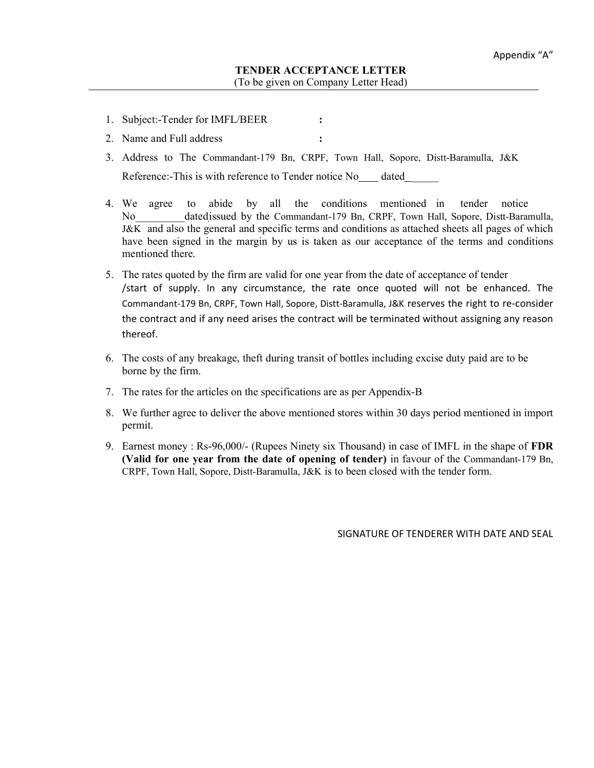- 1. Subject:-Tender for IMFL/BEER :
- 2. Name and Full address :
- 3. Address to The Commandant-179 Bn, CRPF, Town Hall, Sopore, Distt-Baramulla, J&K Reference:-This is with reference to Tender notice No dated
- 4. We agree to abide by all the conditions mentioned in tender notice No dated issued by the Commandant-179 Bn, CRPF, Town Hall, Sopore, Distt-Baramulla, J&K and also the general and specific terms and conditions as attached sheets all pages of which have been signed in the margin by us is taken as our acceptance of the terms and conditions mentioned there.
- 5. The rates quoted by the firm are valid for one year from the date of acceptance of tender /start of supply. In any circumstance, the rate once quoted will not be enhanced. The Commandant-179 Bn, CRPF, Town Hall, Sopore, Distt-Baramulla, J&K reserves the right to re-consider the contract and if any need arises the contract will be terminated without assigning any reason thereof.
- 6. The costs of any breakage, theft during transit of bottles including excise duty paid are to be borne by the firm.
- 7. The rates for the articles on the specifications are as per Appendix-B
- 8. We further agree to deliver the above mentioned stores within 30 days period mentioned in import permit.
- 9. Earnest money : Rs-96,000/- (Rupees Ninety six Thousand) in case of IMFL in the shape of FDR (Valid for one year from the date of opening of tender) in favour of the Commandant-179 Bn, CRPF, Town Hall, Sopore, Distt-Baramulla, J&K is to been closed with the tender form.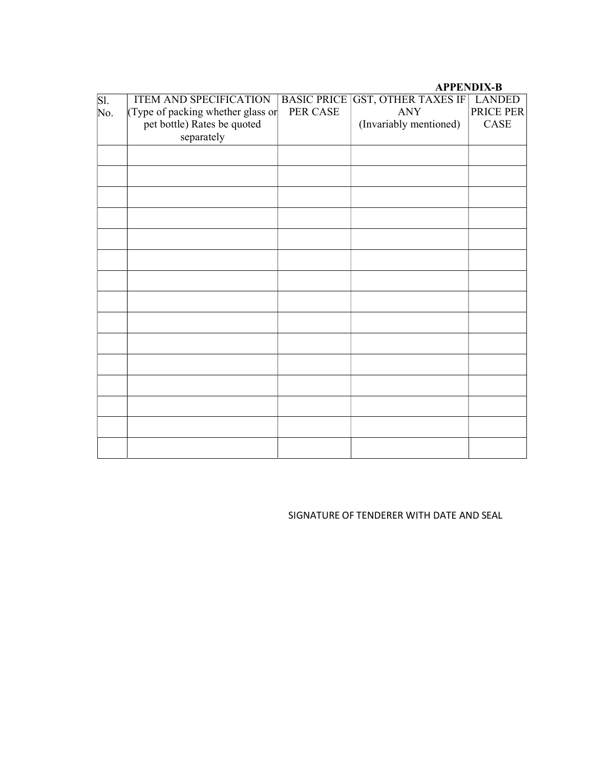### APPENDIX-B

| Sl. | ITEM AND SPECIFICATION<br>(Type of packing whether glass or | <b>BASIC PRICE</b><br>PER CASE | GST, OTHER TAXES IF<br><b>ANY</b> | <b>LANDED</b><br>PRICE PER |
|-----|-------------------------------------------------------------|--------------------------------|-----------------------------------|----------------------------|
| No. | pet bottle) Rates be quoted                                 |                                | (Invariably mentioned)            | CASE                       |
|     | separately                                                  |                                |                                   |                            |
|     |                                                             |                                |                                   |                            |
|     |                                                             |                                |                                   |                            |
|     |                                                             |                                |                                   |                            |
|     |                                                             |                                |                                   |                            |
|     |                                                             |                                |                                   |                            |
|     |                                                             |                                |                                   |                            |
|     |                                                             |                                |                                   |                            |
|     |                                                             |                                |                                   |                            |
|     |                                                             |                                |                                   |                            |
|     |                                                             |                                |                                   |                            |
|     |                                                             |                                |                                   |                            |
|     |                                                             |                                |                                   |                            |
|     |                                                             |                                |                                   |                            |
|     |                                                             |                                |                                   |                            |
|     |                                                             |                                |                                   |                            |
|     |                                                             |                                |                                   |                            |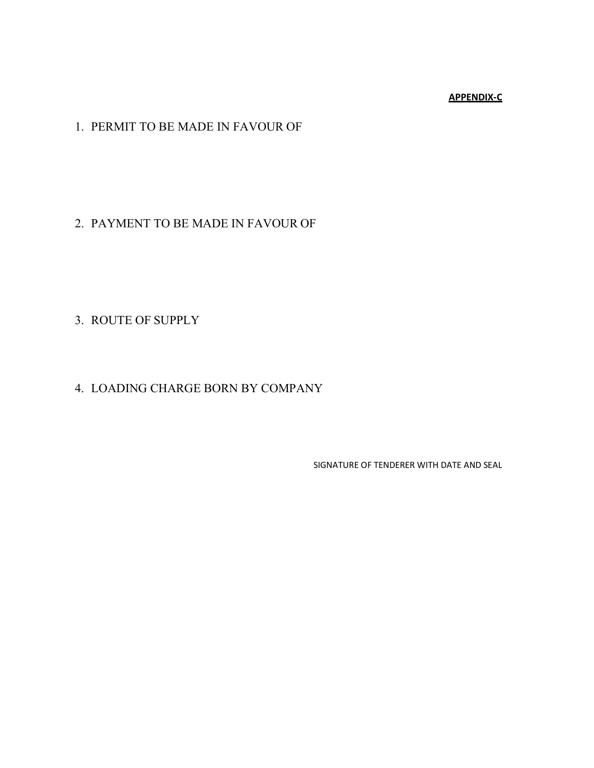### APPENDIX-C

# 1. PERMIT TO BE MADE IN FAVOUR OF

## 2. PAYMENT TO BE MADE IN FAVOUR OF

# 3. ROUTE OF SUPPLY

# 4. LOADING CHARGE BORN BY COMPANY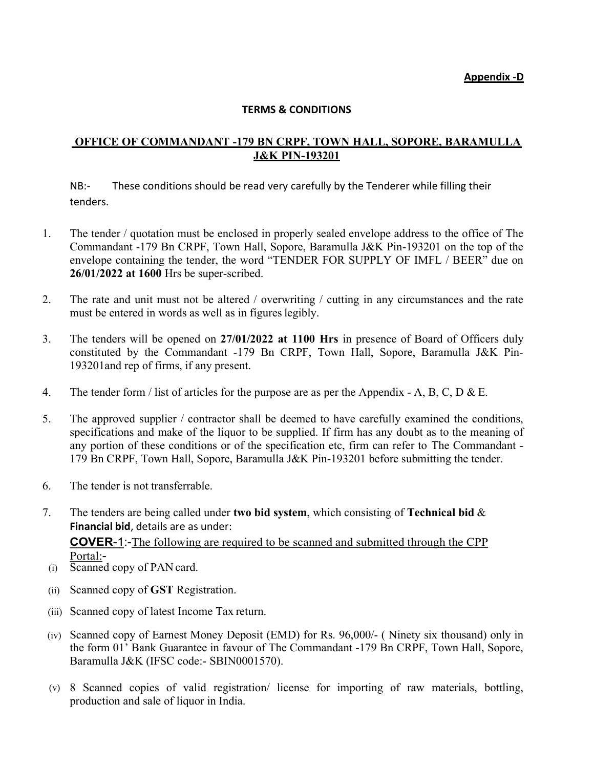Appendix -D

### TERMS & CONDITIONS

## OFFICE OF COMMANDANT -179 BN CRPF, TOWN HALL, SOPORE, BARAMULLA J&K PIN-193201

NB:- These conditions should be read very carefully by the Tenderer while filling their tenders.

- 1. The tender / quotation must be enclosed in properly sealed envelope address to the office of The Commandant -179 Bn CRPF, Town Hall, Sopore, Baramulla J&K Pin-193201 on the top of the envelope containing the tender, the word "TENDER FOR SUPPLY OF IMFL / BEER" due on 26/01/2022 at 1600 Hrs be super-scribed.
- 2. The rate and unit must not be altered / overwriting / cutting in any circumstances and the rate must be entered in words as well as in figures legibly.
- 3. The tenders will be opened on 27/01/2022 at 1100 Hrs in presence of Board of Officers duly constituted by the Commandant -179 Bn CRPF, Town Hall, Sopore, Baramulla J&K Pin-193201and rep of firms, if any present.
- 4. The tender form / list of articles for the purpose are as per the Appendix A, B, C, D & E.
- 5. The approved supplier / contractor shall be deemed to have carefully examined the conditions, specifications and make of the liquor to be supplied. If firm has any doubt as to the meaning of any portion of these conditions or of the specification etc, firm can refer to The Commandant - 179 Bn CRPF, Town Hall, Sopore, Baramulla J&K Pin-193201 before submitting the tender.
- 6. The tender is not transferrable.
- 7. The tenders are being called under two bid system, which consisting of **Technical bid &** Financial bid, details are as under: COVER-1:-The following are required to be scanned and submitted through the CPP Portal:-
- (i) Scanned copy of PAN card.
- (ii) Scanned copy of GST Registration.
- (iii) Scanned copy of latest Income Tax return.
- (iv) Scanned copy of Earnest Money Deposit (EMD) for Rs. 96,000/- ( Ninety six thousand) only in the form 01' Bank Guarantee in favour of The Commandant -179 Bn CRPF, Town Hall, Sopore, Baramulla J&K (IFSC code:- SBIN0001570).
- (v) 8 Scanned copies of valid registration/ license for importing of raw materials, bottling, production and sale of liquor in India.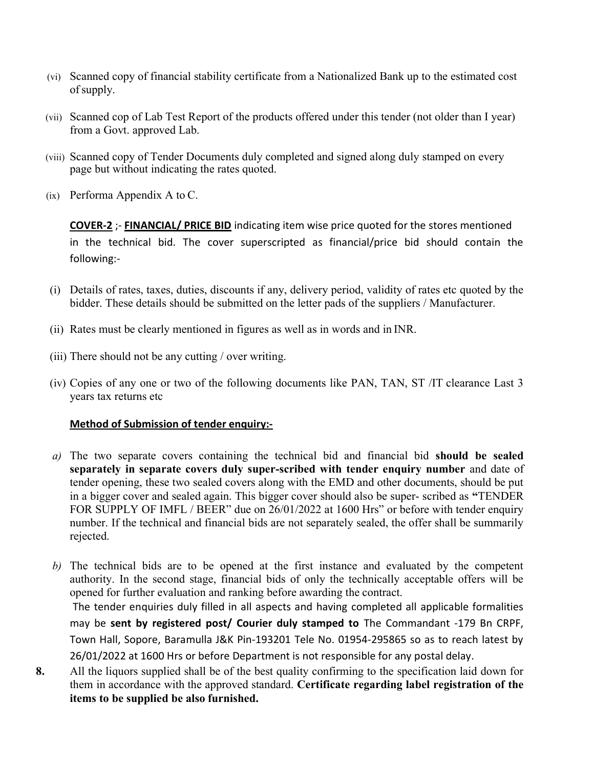- (vi) Scanned copy of financial stability certificate from a Nationalized Bank up to the estimated cost of supply.
- (vii) Scanned cop of Lab Test Report of the products offered under this tender (not older than I year) from a Govt. approved Lab.
- (viii) Scanned copy of Tender Documents duly completed and signed along duly stamped on every page but without indicating the rates quoted.
- (ix) Performa Appendix A to C.

COVER-2 ;- FINANCIAL/ PRICE BID indicating item wise price quoted for the stores mentioned in the technical bid. The cover superscripted as financial/price bid should contain the following:-

- (i) Details of rates, taxes, duties, discounts if any, delivery period, validity of rates etc quoted by the bidder. These details should be submitted on the letter pads of the suppliers / Manufacturer.
- (ii) Rates must be clearly mentioned in figures as well as in words and in INR.
- (iii) There should not be any cutting / over writing.
- (iv) Copies of any one or two of the following documents like PAN, TAN, ST /IT clearance Last 3 years tax returns etc

## Method of Submission of tender enquiry:-

- $a)$  The two separate covers containing the technical bid and financial bid should be sealed separately in separate covers duly super-scribed with tender enquiry number and date of tender opening, these two sealed covers along with the EMD and other documents, should be put in a bigger cover and sealed again. This bigger cover should also be super- scribed as "TENDER FOR SUPPLY OF IMFL / BEER" due on 26/01/2022 at 1600 Hrs" or before with tender enquiry number. If the technical and financial bids are not separately sealed, the offer shall be summarily rejected.
- b) The technical bids are to be opened at the first instance and evaluated by the competent authority. In the second stage, financial bids of only the technically acceptable offers will be opened for further evaluation and ranking before awarding the contract.

The tender enquiries duly filled in all aspects and having completed all applicable formalities may be sent by registered post/ Courier duly stamped to The Commandant -179 Bn CRPF, Town Hall, Sopore, Baramulla J&K Pin-193201 Tele No. 01954-295865 so as to reach latest by 26/01/2022 at 1600 Hrs or before Department is not responsible for any postal delay.

8. All the liquors supplied shall be of the best quality confirming to the specification laid down for them in accordance with the approved standard. Certificate regarding label registration of the items to be supplied be also furnished.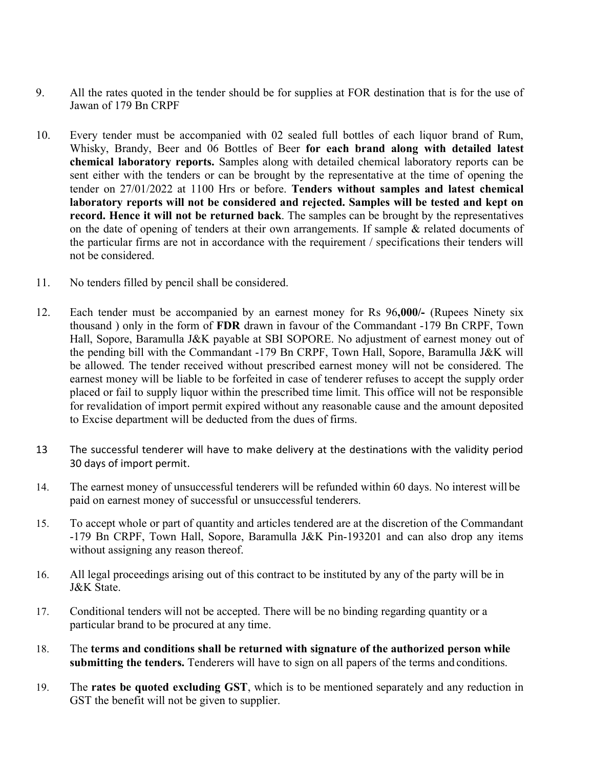- 9. All the rates quoted in the tender should be for supplies at FOR destination that is for the use of Jawan of 179 Bn CRPF
- 10. Every tender must be accompanied with 02 sealed full bottles of each liquor brand of Rum, Whisky, Brandy, Beer and 06 Bottles of Beer for each brand along with detailed latest chemical laboratory reports. Samples along with detailed chemical laboratory reports can be sent either with the tenders or can be brought by the representative at the time of opening the tender on 27/01/2022 at 1100 Hrs or before. Tenders without samples and latest chemical laboratory reports will not be considered and rejected. Samples will be tested and kept on record. Hence it will not be returned back. The samples can be brought by the representatives on the date of opening of tenders at their own arrangements. If sample & related documents of the particular firms are not in accordance with the requirement / specifications their tenders will not be considered.
- 11. No tenders filled by pencil shall be considered.
- 12. Each tender must be accompanied by an earnest money for Rs 96,000/- (Rupees Ninety six thousand ) only in the form of FDR drawn in favour of the Commandant -179 Bn CRPF, Town Hall, Sopore, Baramulla J&K payable at SBI SOPORE. No adjustment of earnest money out of the pending bill with the Commandant -179 Bn CRPF, Town Hall, Sopore, Baramulla J&K will be allowed. The tender received without prescribed earnest money will not be considered. The earnest money will be liable to be forfeited in case of tenderer refuses to accept the supply order placed or fail to supply liquor within the prescribed time limit. This office will not be responsible for revalidation of import permit expired without any reasonable cause and the amount deposited to Excise department will be deducted from the dues of firms.
- 13 The successful tenderer will have to make delivery at the destinations with the validity period 30 days of import permit.
- 14. The earnest money of unsuccessful tenderers will be refunded within 60 days. No interest will be paid on earnest money of successful or unsuccessful tenderers.
- 15. To accept whole or part of quantity and articles tendered are at the discretion of the Commandant -179 Bn CRPF, Town Hall, Sopore, Baramulla J&K Pin-193201 and can also drop any items without assigning any reason thereof.
- 16. All legal proceedings arising out of this contract to be instituted by any of the party will be in J&K State.
- 17. Conditional tenders will not be accepted. There will be no binding regarding quantity or a particular brand to be procured at any time.
- 18. The terms and conditions shall be returned with signature of the authorized person while submitting the tenders. Tenderers will have to sign on all papers of the terms and conditions.
- 19. The rates be quoted excluding GST, which is to be mentioned separately and any reduction in GST the benefit will not be given to supplier.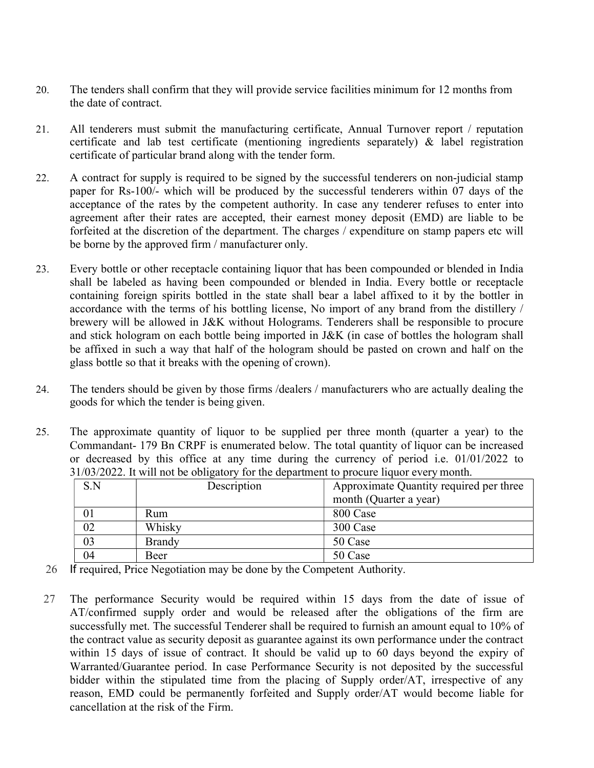- 20. The tenders shall confirm that they will provide service facilities minimum for 12 months from the date of contract.
- 21. All tenderers must submit the manufacturing certificate, Annual Turnover report / reputation certificate and lab test certificate (mentioning ingredients separately) & label registration certificate of particular brand along with the tender form.
- 22. A contract for supply is required to be signed by the successful tenderers on non-judicial stamp paper for Rs-100/- which will be produced by the successful tenderers within 07 days of the acceptance of the rates by the competent authority. In case any tenderer refuses to enter into agreement after their rates are accepted, their earnest money deposit (EMD) are liable to be forfeited at the discretion of the department. The charges / expenditure on stamp papers etc will be borne by the approved firm / manufacturer only.
- 23. Every bottle or other receptacle containing liquor that has been compounded or blended in India shall be labeled as having been compounded or blended in India. Every bottle or receptacle containing foreign spirits bottled in the state shall bear a label affixed to it by the bottler in accordance with the terms of his bottling license, No import of any brand from the distillery / brewery will be allowed in J&K without Holograms. Tenderers shall be responsible to procure and stick hologram on each bottle being imported in J&K (in case of bottles the hologram shall be affixed in such a way that half of the hologram should be pasted on crown and half on the glass bottle so that it breaks with the opening of crown).
- 24. The tenders should be given by those firms /dealers / manufacturers who are actually dealing the goods for which the tender is being given.
- 25. The approximate quantity of liquor to be supplied per three month (quarter a year) to the Commandant- 179 Bn CRPF is enumerated below. The total quantity of liquor can be increased or decreased by this office at any time during the currency of period i.e. 01/01/2022 to 31/03/2022. It will not be obligatory for the department to procure liquor every month.

| S.N | Description   | Approximate Quantity required per three |
|-----|---------------|-----------------------------------------|
|     |               |                                         |
|     |               | month (Quarter a year)                  |
| 01  | Rum           | 800 Case                                |
| 02  | Whisky        | 300 Case                                |
| 03  | <b>Brandy</b> | 50 Case                                 |
| 04  | Beer          | 50 Case                                 |

- 26 If required, Price Negotiation may be done by the Competent Authority.
- 27 The performance Security would be required within 15 days from the date of issue of AT/confirmed supply order and would be released after the obligations of the firm are successfully met. The successful Tenderer shall be required to furnish an amount equal to 10% of the contract value as security deposit as guarantee against its own performance under the contract within 15 days of issue of contract. It should be valid up to 60 days beyond the expiry of Warranted/Guarantee period. In case Performance Security is not deposited by the successful bidder within the stipulated time from the placing of Supply order/AT, irrespective of any reason, EMD could be permanently forfeited and Supply order/AT would become liable for cancellation at the risk of the Firm.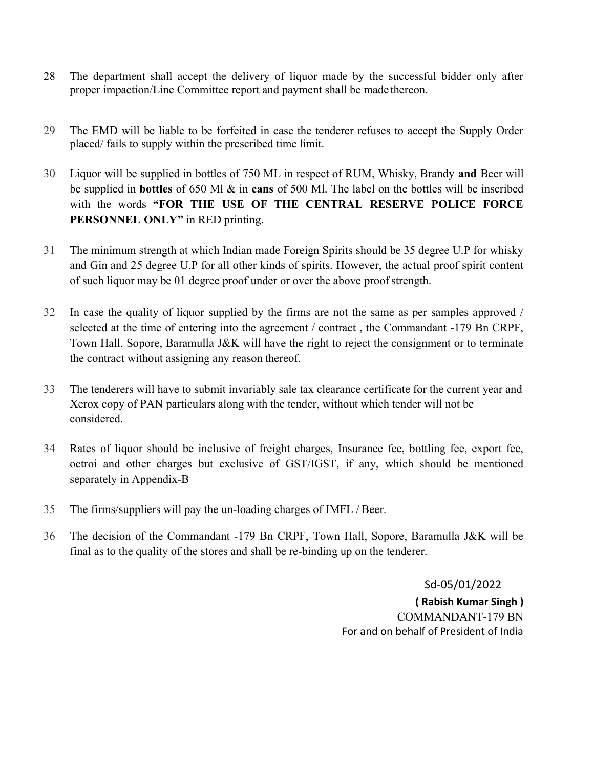- 28 The department shall accept the delivery of liquor made by the successful bidder only after proper impaction/Line Committee report and payment shall be made thereon.
- 29 The EMD will be liable to be forfeited in case the tenderer refuses to accept the Supply Order placed/ fails to supply within the prescribed time limit.
- 30 Liquor will be supplied in bottles of 750 ML in respect of RUM, Whisky, Brandy and Beer will be supplied in bottles of 650 Ml & in cans of 500 Ml. The label on the bottles will be inscribed with the words "FOR THE USE OF THE CENTRAL RESERVE POLICE FORCE PERSONNEL ONLY" in RED printing.
- 31 The minimum strength at which Indian made Foreign Spirits should be 35 degree U.P for whisky and Gin and 25 degree U.P for all other kinds of spirits. However, the actual proof spirit content of such liquor may be 01 degree proof under or over the above proof strength.
- 32 In case the quality of liquor supplied by the firms are not the same as per samples approved / selected at the time of entering into the agreement / contract , the Commandant -179 Bn CRPF, Town Hall, Sopore, Baramulla J&K will have the right to reject the consignment or to terminate the contract without assigning any reason thereof.
- 33 The tenderers will have to submit invariably sale tax clearance certificate for the current year and Xerox copy of PAN particulars along with the tender, without which tender will not be considered.
- 34 Rates of liquor should be inclusive of freight charges, Insurance fee, bottling fee, export fee, octroi and other charges but exclusive of GST/IGST, if any, which should be mentioned separately in Appendix-B
- 35 The firms/suppliers will pay the un-loading charges of IMFL / Beer.
- 36 The decision of the Commandant -179 Bn CRPF, Town Hall, Sopore, Baramulla J&K will be final as to the quality of the stores and shall be re-binding up on the tenderer.

 Sd-05/01/2022 ( Rabish Kumar Singh ) COMMANDANT-179 BN For and on behalf of President of India